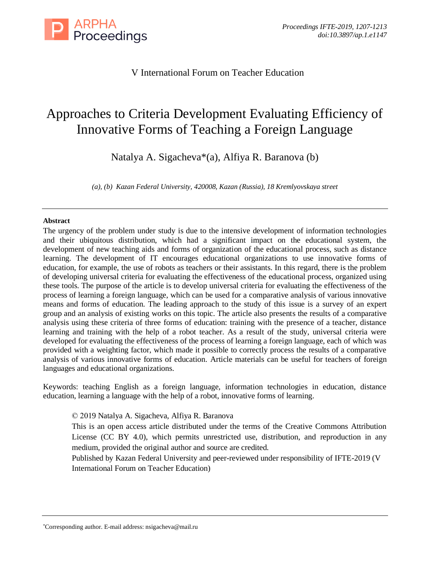

# V International Forum on Teacher Education

# Approaches to Criteria Development Evaluating Efficiency of Innovative Forms of Teaching a Foreign Language

Natalya A. Sigacheva\*(a), Alfiya R. Baranova (b)

*(a), (b) Kazan Federal University, 420008, Kazan (Russia), 18 Kremlyovskaya street*

### **Abstract**

The urgency of the problem under study is due to the intensive development of information technologies and their ubiquitous distribution, which had a significant impact on the educational system, the development of new teaching aids and forms of organization of the educational process, such as distance learning. The development of IT encourages educational organizations to use innovative forms of education, for example, the use of robots as teachers or their assistants. In this regard, there is the problem of developing universal criteria for evaluating the effectiveness of the educational process, organized using these tools. The purpose of the article is to develop universal criteria for evaluating the effectiveness of the process of learning a foreign language, which can be used for a comparative analysis of various innovative means and forms of education. The leading approach to the study of this issue is a survey of an expert group and an analysis of existing works on this topic. The article also presents the results of a comparative analysis using these criteria of three forms of education: training with the presence of a teacher, distance learning and training with the help of a robot teacher. As a result of the study, universal criteria were developed for evaluating the effectiveness of the process of learning a foreign language, each of which was provided with a weighting factor, which made it possible to correctly process the results of a comparative analysis of various innovative forms of education. Article materials can be useful for teachers of foreign languages and educational organizations.

Keywords: teaching English as a foreign language, information technologies in education, distance education, learning a language with the help of a robot, innovative forms of learning.

© 2019 Natalya A. Sigacheva, Alfiya R. Baranova

This is an open access article distributed under the terms of the Creative Commons Attribution License (CC BY 4.0), which permits unrestricted use, distribution, and reproduction in any medium, provided the original author and source are credited.

Published by Kazan Federal University and peer-reviewed under responsibility of IFTE-2019 (V International Forum on Teacher Education)

<sup>\*</sup>Corresponding author. E-mail address: nsigacheva@mail.ru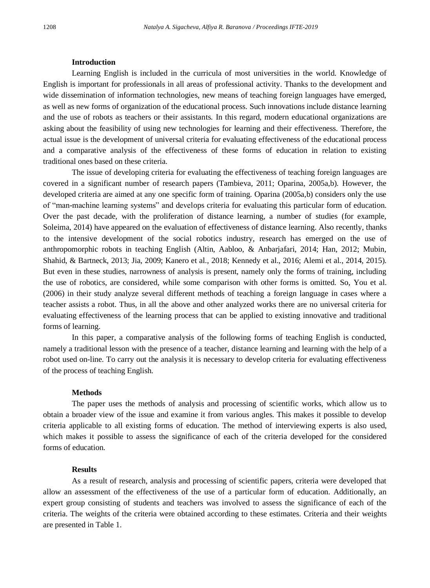#### **Introduction**

Learning English is included in the curricula of most universities in the world. Knowledge of English is important for professionals in all areas of professional activity. Thanks to the development and wide dissemination of information technologies, new means of teaching foreign languages have emerged, as well as new forms of organization of the educational process. Such innovations include distance learning and the use of robots as teachers or their assistants. In this regard, modern educational organizations are asking about the feasibility of using new technologies for learning and their effectiveness. Therefore, the actual issue is the development of universal criteria for evaluating effectiveness of the educational process and a comparative analysis of the effectiveness of these forms of education in relation to existing traditional ones based on these criteria.

The issue of developing criteria for evaluating the effectiveness of teaching foreign languages are covered in a significant number of research papers (Tambieva, 2011; Oparina, 2005a,b). However, the developed criteria are aimed at any one specific form of training. Oparina (2005a,b) considers only the use of "man-machine learning systems" and develops criteria for evaluating this particular form of education. Over the past decade, with the proliferation of distance learning, a number of studies (for example, Soleima, 2014) have appeared on the evaluation of effectiveness of distance learning. Also recently, thanks to the intensive development of the social robotics industry, research has emerged on the use of anthropomorphic robots in teaching English (Altin, Aabloo, & Anbarjafari, 2014; Han, 2012; Mubin, Shahid, & Bartneck, 2013; Jia, 2009; Kanero et al., 2018; Kennedy et al., 2016; Alemi et al., 2014, 2015). But even in these studies, narrowness of analysis is present, namely only the forms of training, including the use of robotics, are considered, while some comparison with other forms is omitted. So, You et al. (2006) in their study analyze several different methods of teaching a foreign language in cases where a teacher assists a robot. Thus, in all the above and other analyzed works there are no universal criteria for evaluating effectiveness of the learning process that can be applied to existing innovative and traditional forms of learning.

In this paper, a comparative analysis of the following forms of teaching English is conducted, namely a traditional lesson with the presence of a teacher, distance learning and learning with the help of a robot used on-line. To carry out the analysis it is necessary to develop criteria for evaluating effectiveness of the process of teaching English.

### **Methods**

The paper uses the methods of analysis and processing of scientific works, which allow us to obtain a broader view of the issue and examine it from various angles. This makes it possible to develop criteria applicable to all existing forms of education. The method of interviewing experts is also used, which makes it possible to assess the significance of each of the criteria developed for the considered forms of education.

#### **Results**

As a result of research, analysis and processing of scientific papers, criteria were developed that allow an assessment of the effectiveness of the use of a particular form of education. Additionally, an expert group consisting of students and teachers was involved to assess the significance of each of the criteria. The weights of the criteria were obtained according to these estimates. Criteria and their weights are presented in Table 1.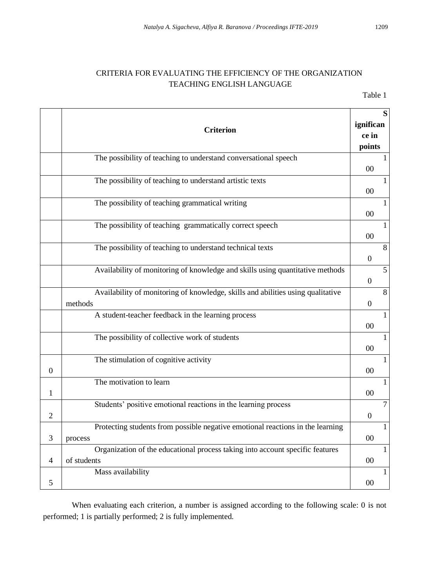# CRITERIA FOR EVALUATING THE EFFICIENCY OF THE ORGANIZATION TEACHING ENGLISH LANGUAGE

Table 1

|                | <b>Criterion</b>                                                                             | S<br>ignifican<br>ce in<br>points  |
|----------------|----------------------------------------------------------------------------------------------|------------------------------------|
|                | The possibility of teaching to understand conversational speech                              | 00                                 |
|                | The possibility of teaching to understand artistic texts                                     | 1<br>00                            |
|                | The possibility of teaching grammatical writing                                              | $\mathbf{1}$<br>00                 |
|                | The possibility of teaching grammatically correct speech                                     | $\mathbf{1}$<br>$00\,$             |
|                | The possibility of teaching to understand technical texts                                    | 8<br>$\boldsymbol{0}$              |
|                | Availability of monitoring of knowledge and skills using quantitative methods                | $\overline{5}$<br>$\boldsymbol{0}$ |
|                | Availability of monitoring of knowledge, skills and abilities using qualitative<br>methods   | $\,8\,$<br>$\mathbf{0}$            |
|                | A student-teacher feedback in the learning process                                           | $\mathbf{1}$<br>00                 |
|                | The possibility of collective work of students                                               | $\mathbf{1}$<br>$00\,$             |
| $\mathbf{0}$   | The stimulation of cognitive activity                                                        | $\mathbf{1}$<br>$00\,$             |
| 1              | The motivation to learn                                                                      | $\mathbf{1}$<br>$00\,$             |
| $\overline{2}$ | Students' positive emotional reactions in the learning process                               | $\overline{7}$<br>$\mathbf{0}$     |
| 3              | Protecting students from possible negative emotional reactions in the learning<br>process    | $\overline{1}$<br>$00\,$           |
| 4              | Organization of the educational process taking into account specific features<br>of students | $\mathbf{1}$<br>$00\,$             |
| 5              | Mass availability                                                                            | 1<br>$00\,$                        |

When evaluating each criterion, a number is assigned according to the following scale: 0 is not performed; 1 is partially performed; 2 is fully implemented.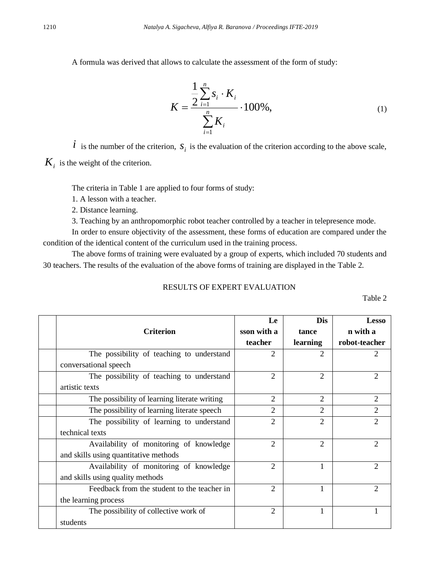A formula was derived that allows to calculate the assessment of the form of study:

$$
K = \frac{\frac{1}{2} \sum_{i=1}^{n} s_i \cdot K_i}{\sum_{i=1}^{n} K_i} \cdot 100\%,
$$
 (1)

*i* is the number of the criterion,  $S_i$  is the evaluation of the criterion according to the above scale,

 $K<sub>i</sub>$  is the weight of the criterion.

The criteria in Table 1 are applied to four forms of study:

1. A lesson with a teacher.

2. Distance learning.

3. Teaching by an anthropomorphic robot teacher controlled by a teacher in telepresence mode.

In order to ensure objectivity of the assessment, these forms of education are compared under the condition of the identical content of the curriculum used in the training process.

The above forms of training were evaluated by a group of experts, which included 70 students and 30 teachers. The results of the evaluation of the above forms of training are displayed in the Table 2.

## RESULTS OF EXPERT EVALUATION

Table 2

|                                              | Le             | <b>Dis</b>     | <b>Lesso</b>   |
|----------------------------------------------|----------------|----------------|----------------|
| <b>Criterion</b>                             | sson with a    | tance          | n with a       |
|                                              | teacher        | learning       | robot-teacher  |
| The possibility of teaching to understand    | $\mathfrak{D}$ | 2              | 2              |
| conversational speech                        |                |                |                |
| The possibility of teaching to understand    | $\mathfrak{D}$ | $\mathfrak{D}$ | $\mathcal{L}$  |
| artistic texts                               |                |                |                |
| The possibility of learning literate writing | $\mathfrak{D}$ | $\mathfrak{D}$ | $\mathfrak{D}$ |
| The possibility of learning literate speech  | 2              | $\mathfrak{D}$ | $\mathfrak{D}$ |
| The possibility of learning to understand    | $\overline{c}$ | $\mathfrak{D}$ | $\mathfrak{D}$ |
| technical texts                              |                |                |                |
| Availability of monitoring of knowledge      | $\mathfrak{D}$ | $\overline{2}$ | $\mathfrak{D}$ |
| and skills using quantitative methods        |                |                |                |
| Availability of monitoring of knowledge      | $\overline{c}$ | 1              | $\mathfrak{D}$ |
| and skills using quality methods             |                |                |                |
| Feedback from the student to the teacher in  | $\mathfrak{D}$ | 1              | $\mathfrak{D}$ |
| the learning process                         |                |                |                |
| The possibility of collective work of        | $\mathfrak{D}$ |                |                |
| students                                     |                |                |                |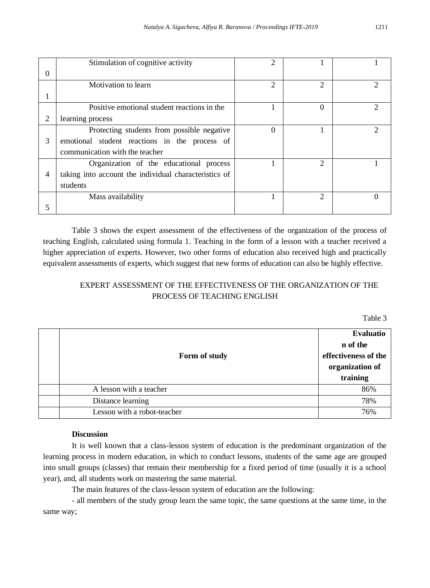|                | Stimulation of cognitive activity                     | $\mathfrak{D}$ |                             |               |
|----------------|-------------------------------------------------------|----------------|-----------------------------|---------------|
| $\theta$       |                                                       |                |                             |               |
|                | Motivation to learn                                   | 2              | 2                           |               |
|                |                                                       |                |                             |               |
|                | Positive emotional student reactions in the           |                | 0                           | $\mathcal{D}$ |
| 2              | learning process                                      |                |                             |               |
|                | Protecting students from possible negative            | $\Omega$       |                             |               |
| 3              | emotional student reactions in the process of         |                |                             |               |
|                | communication with the teacher                        |                |                             |               |
|                | Organization of the educational process               |                | 2                           |               |
| $\overline{4}$ | taking into account the individual characteristics of |                |                             |               |
|                | students                                              |                |                             |               |
|                | Mass availability                                     |                | $\mathcal{D}_{\mathcal{L}}$ |               |
| 5              |                                                       |                |                             |               |

Table 3 shows the expert assessment of the effectiveness of the organization of the process of teaching English, calculated using formula 1. Teaching in the form of a lesson with a teacher received a higher appreciation of experts. However, two other forms of education also received high and practically equivalent assessments of experts, which suggest that new forms of education can also be highly effective.

# EXPERT ASSESSMENT OF THE EFFECTIVENESS OF THE ORGANIZATION OF THE PROCESS OF TEACHING ENGLISH

Table 3

| Form of study               | <b>Evaluatio</b><br>n of the<br>effectiveness of the<br>organization of<br>training |
|-----------------------------|-------------------------------------------------------------------------------------|
| A lesson with a teacher     | 86%                                                                                 |
| Distance learning           | 78%                                                                                 |
| Lesson with a robot-teacher | 76%                                                                                 |

### **Discussion**

It is well known that a class-lesson system of education is the predominant organization of the learning process in modern education, in which to conduct lessons, students of the same age are grouped into small groups (classes) that remain their membership for a fixed period of time (usually it is a school year), and, all students work on mastering the same material.

The main features of the class-lesson system of education are the following:

- all members of the study group learn the same topic, the same questions at the same time, in the same way;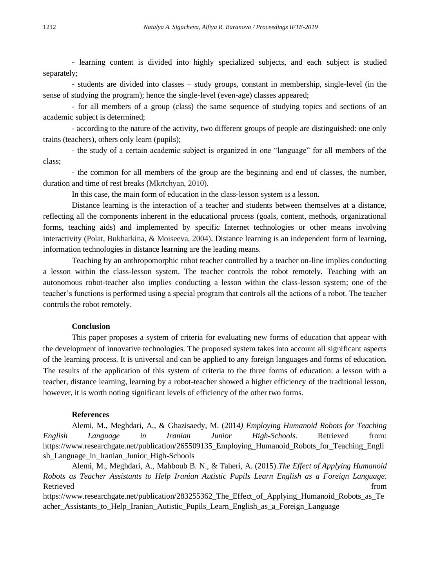- learning content is divided into highly specialized subjects, and each subject is studied separately;

- students are divided into classes – study groups, constant in membership, single-level (in the sense of studying the program); hence the single-level (even-age) classes appeared;

- for all members of a group (class) the same sequence of studying topics and sections of an academic subject is determined;

- according to the nature of the activity, two different groups of people are distinguished: one only trains (teachers), others only learn (pupils);

- the study of a certain academic subject is organized in one "language" for all members of the class;

- the common for all members of the group are the beginning and end of classes, the number, duration and time of rest breaks (Mkrtchyan, 2010).

In this case, the main form of education in the class-lesson system is a lesson.

Distance learning is the interaction of a teacher and students between themselves at a distance, reflecting all the components inherent in the educational process (goals, content, methods, organizational forms, teaching aids) and implemented by specific Internet technologies or other means involving interactivity (Polat, Bukharkina, & Moiseeva, 2004). Distance learning is an independent form of learning, information technologies in distance learning are the leading means.

Teaching by an anthropomorphic robot teacher controlled by a teacher on-line implies conducting a lesson within the class-lesson system. The teacher controls the robot remotely. Teaching with an autonomous robot-teacher also implies conducting a lesson within the class-lesson system; one of the teacher's functions is performed using a special program that controls all the actions of a robot. The teacher controls the robot remotely.

### **Conclusion**

This paper proposes a system of criteria for evaluating new forms of education that appear with the development of innovative technologies. The proposed system takes into account all significant aspects of the learning process. It is universal and can be applied to any foreign languages and forms of education. The results of the application of this system of criteria to the three forms of education: a lesson with a teacher, distance learning, learning by a robot-teacher showed a higher efficiency of the traditional lesson, however, it is worth noting significant levels of efficiency of the other two forms.

#### **References**

Alemi, M., Meghdari, A., & Ghazisaedy, M. (2014*) Employing Humanoid Robots for Teaching English Language in Iranian Junior High-Schools*. Retrieved from: https://www.researchgate.net/publication/265509135 Employing Humanoid Robots for Teaching Engli [sh\\_Language\\_in\\_Iranian\\_Junior\\_High-Schools](https://www.researchgate.net/publication/265509135_Employing_Humanoid_Robots_for_Teaching_English_Language_in_Iranian_Junior_High-Schools)

Alemi, M., Meghdari, A., Mahboub B. N., & Taheri, A. (2015).*The Effect of Applying Humanoid Robots as Teacher Assistants to Help Iranian Autistic Pupils Learn English as a Foreign Language*. Retrieved that the contract of the contract of the contract of the contract of the contract of the contract of the contract of the contract of the contract of the contract of the contract of the contract of the contract of

[https://www.researchgate.net/publication/283255362\\_The\\_Effect\\_of\\_Applying\\_Humanoid\\_Robots\\_as\\_Te](https://www.researchgate.net/publication/283255362_The_Effect_of_Applying_Humanoid_Robots_as_Teacher_Assistants_to_Help_Iranian_Autistic_Pupils_Learn_English_as_a_Foreign_Language) [acher\\_Assistants\\_to\\_Help\\_Iranian\\_Autistic\\_Pupils\\_Learn\\_English\\_as\\_a\\_Foreign\\_Language](https://www.researchgate.net/publication/283255362_The_Effect_of_Applying_Humanoid_Robots_as_Teacher_Assistants_to_Help_Iranian_Autistic_Pupils_Learn_English_as_a_Foreign_Language)